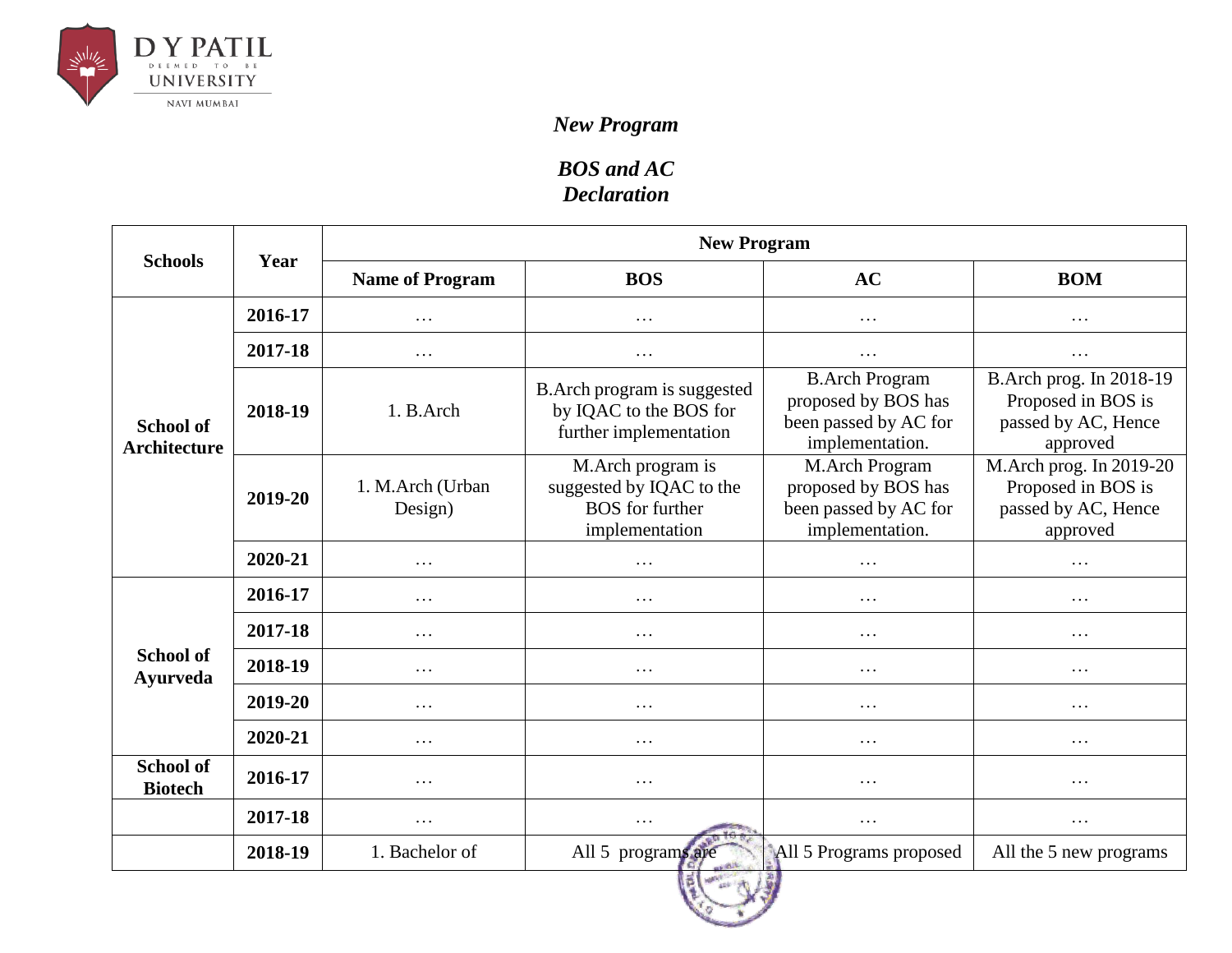

## *New Program*

## *BOS and AC Declaration*

| <b>Schools</b>                          | Year    | <b>New Program</b>          |                                                                                           |                                                                                          |                                                                                  |  |
|-----------------------------------------|---------|-----------------------------|-------------------------------------------------------------------------------------------|------------------------------------------------------------------------------------------|----------------------------------------------------------------------------------|--|
|                                         |         | <b>Name of Program</b>      | <b>BOS</b>                                                                                | AC                                                                                       | <b>BOM</b>                                                                       |  |
|                                         | 2016-17 | .                           | $\cdots$                                                                                  | $\cdots$                                                                                 | $\cdots$                                                                         |  |
|                                         | 2017-18 | .                           | $\cdots$                                                                                  | $\cdots$                                                                                 | $\cdots$                                                                         |  |
| <b>School of</b><br><b>Architecture</b> | 2018-19 | 1. B.Arch                   | B. Arch program is suggested<br>by IQAC to the BOS for<br>further implementation          | <b>B.Arch Program</b><br>proposed by BOS has<br>been passed by AC for<br>implementation. | B.Arch prog. In 2018-19<br>Proposed in BOS is<br>passed by AC, Hence<br>approved |  |
|                                         | 2019-20 | 1. M.Arch (Urban<br>Design) | M.Arch program is<br>suggested by IQAC to the<br><b>BOS</b> for further<br>implementation | M.Arch Program<br>proposed by BOS has<br>been passed by AC for<br>implementation.        | M.Arch prog. In 2019-20<br>Proposed in BOS is<br>passed by AC, Hence<br>approved |  |
|                                         | 2020-21 | .                           | $\cdots$                                                                                  | .                                                                                        | .                                                                                |  |
|                                         | 2016-17 | .                           | $\cdots$                                                                                  | $\cdots$                                                                                 | $\cdots$                                                                         |  |
| <b>School of</b><br><b>Ayurveda</b>     | 2017-18 | $\cdots$                    | $\cdots$                                                                                  | $\cdots$                                                                                 | $\cdots$                                                                         |  |
|                                         | 2018-19 | $\cdots$                    | $\cdots$                                                                                  | $\cdots$                                                                                 | $\cdots$                                                                         |  |
|                                         | 2019-20 | .                           | $\cdots$                                                                                  | $\cdots$                                                                                 | $\cdots$                                                                         |  |
|                                         | 2020-21 | $\cdots$                    | $\cdots$                                                                                  | $\cdots$                                                                                 | $\cdots$                                                                         |  |
| <b>School of</b><br><b>Biotech</b>      | 2016-17 | $\cdots$                    | $\cdots$                                                                                  | $\cdots$                                                                                 | $\cdots$                                                                         |  |
|                                         | 2017-18 | $\cdots$                    | $\cdots$                                                                                  | $\cdots$                                                                                 | $\cdots$                                                                         |  |
|                                         | 2018-19 | 1. Bachelor of              | All 5 programs are                                                                        | All 5 Programs proposed                                                                  | All the 5 new programs                                                           |  |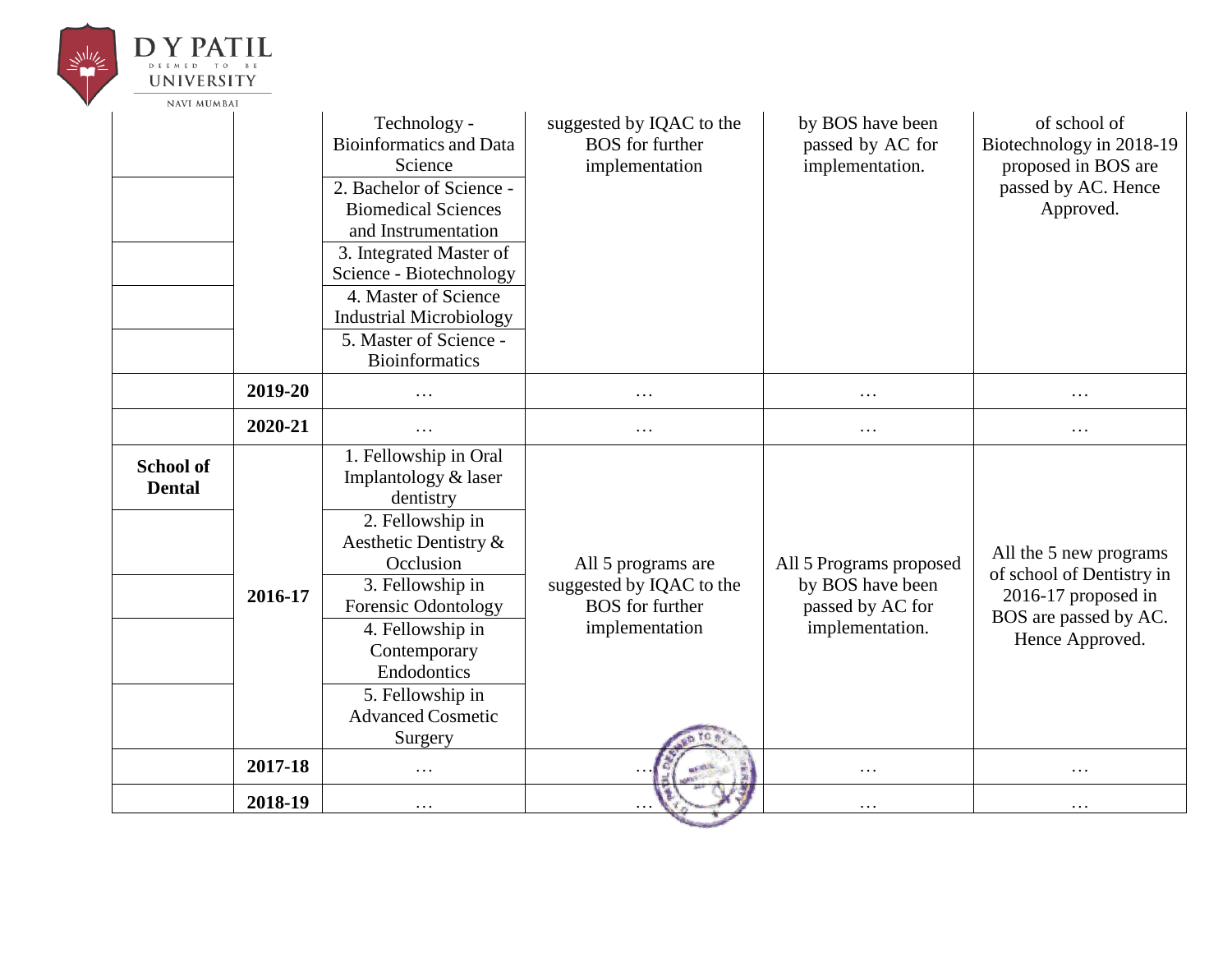| D Y PAT<br><b>UNIVERSITY</b>      |         |                                                                                                                                                                                                                                                                                                               |                                                                                            |                                                                                    |                                                                                                                        |
|-----------------------------------|---------|---------------------------------------------------------------------------------------------------------------------------------------------------------------------------------------------------------------------------------------------------------------------------------------------------------------|--------------------------------------------------------------------------------------------|------------------------------------------------------------------------------------|------------------------------------------------------------------------------------------------------------------------|
| <b>NAVI MUMBAI</b>                |         | Technology -<br><b>Bioinformatics and Data</b><br>Science<br>2. Bachelor of Science -<br><b>Biomedical Sciences</b><br>and Instrumentation<br>3. Integrated Master of<br>Science - Biotechnology<br>4. Master of Science<br><b>Industrial Microbiology</b><br>5. Master of Science -<br><b>Bioinformatics</b> | suggested by IQAC to the<br><b>BOS</b> for further<br>implementation                       | by BOS have been<br>passed by AC for<br>implementation.                            | of school of<br>Biotechnology in 2018-19<br>proposed in BOS are<br>passed by AC. Hence<br>Approved.                    |
|                                   | 2019-20 | .                                                                                                                                                                                                                                                                                                             | .                                                                                          | $\cdots$                                                                           | $\cdots$                                                                                                               |
|                                   | 2020-21 | .                                                                                                                                                                                                                                                                                                             | $\cdots$                                                                                   | $\cdots$                                                                           | $\cdots$                                                                                                               |
| <b>School of</b><br><b>Dental</b> | 2016-17 | 1. Fellowship in Oral<br>Implantology & laser<br>dentistry<br>2. Fellowship in<br>Aesthetic Dentistry &<br>Occlusion<br>3. Fellowship in<br>Forensic Odontology<br>4. Fellowship in<br>Contemporary<br>Endodontics<br>5. Fellowship in<br><b>Advanced Cosmetic</b><br>Surgery                                 | All 5 programs are<br>suggested by IQAC to the<br><b>BOS</b> for further<br>implementation | All 5 Programs proposed<br>by BOS have been<br>passed by AC for<br>implementation. | All the 5 new programs<br>of school of Dentistry in<br>2016-17 proposed in<br>BOS are passed by AC.<br>Hence Approved. |
|                                   | 2017-18 | $\cdots$                                                                                                                                                                                                                                                                                                      |                                                                                            | $\cdots$                                                                           | $\cdots$                                                                                                               |
|                                   | 2018-19 | .                                                                                                                                                                                                                                                                                                             |                                                                                            | $\cdots$                                                                           | $\ddots$                                                                                                               |
|                                   |         |                                                                                                                                                                                                                                                                                                               |                                                                                            |                                                                                    |                                                                                                                        |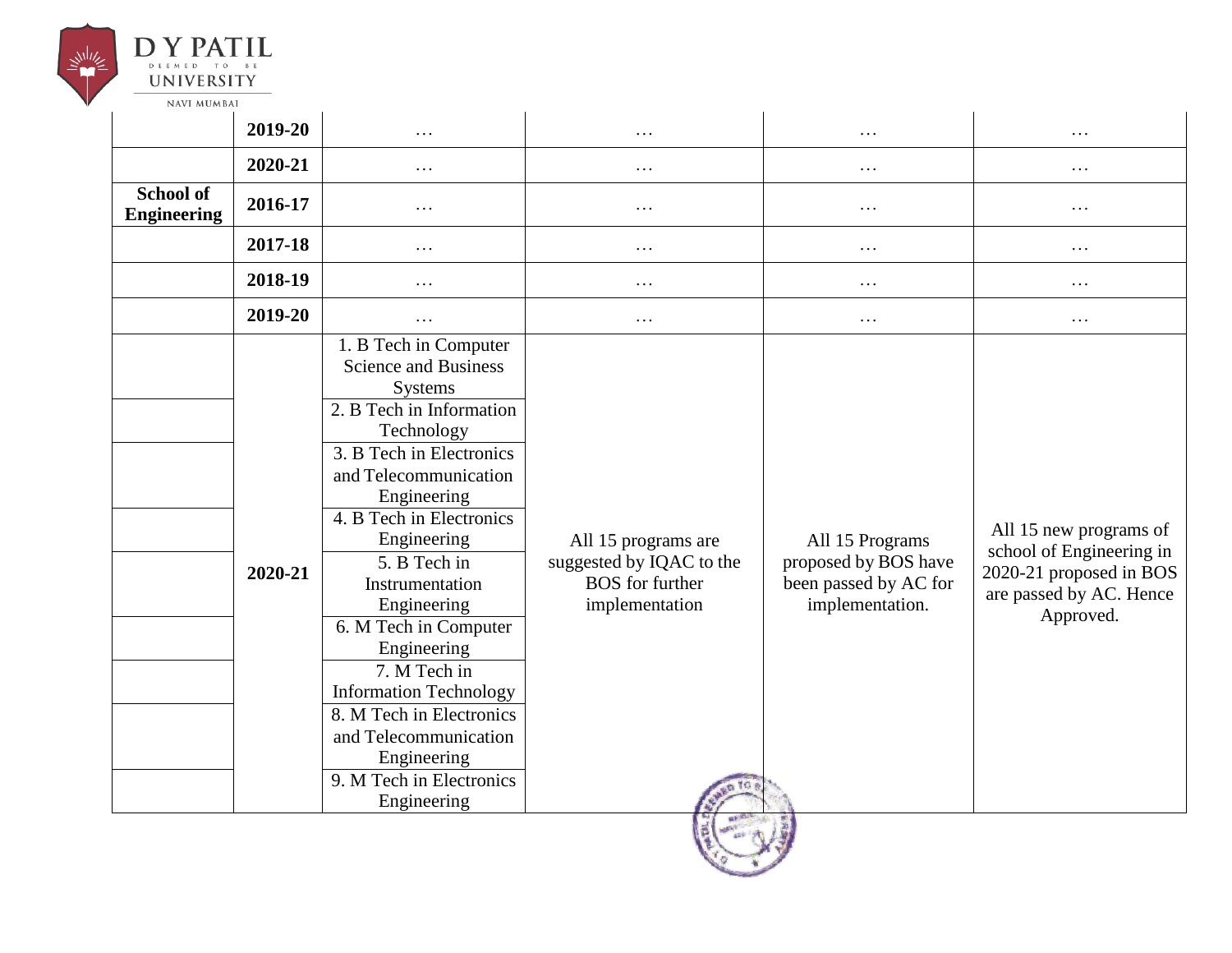

|                                        | 2019-20 | $\cdots$                                                                                                                                                                                                                                                                                                                                                                                                                                                                           | .                                                                                           | $\cdots$                                                                            | .                                                                                                                     |
|----------------------------------------|---------|------------------------------------------------------------------------------------------------------------------------------------------------------------------------------------------------------------------------------------------------------------------------------------------------------------------------------------------------------------------------------------------------------------------------------------------------------------------------------------|---------------------------------------------------------------------------------------------|-------------------------------------------------------------------------------------|-----------------------------------------------------------------------------------------------------------------------|
|                                        | 2020-21 | $\cdots$                                                                                                                                                                                                                                                                                                                                                                                                                                                                           | .                                                                                           | $\cdots$                                                                            | $\cdots$                                                                                                              |
| <b>School of</b><br><b>Engineering</b> | 2016-17 | $\cdots$                                                                                                                                                                                                                                                                                                                                                                                                                                                                           | $\cdots$                                                                                    | $\cdots$                                                                            | $\cdots$                                                                                                              |
|                                        | 2017-18 | $\cdots$                                                                                                                                                                                                                                                                                                                                                                                                                                                                           | .                                                                                           | $\cdots$                                                                            | $\cdots$                                                                                                              |
|                                        | 2018-19 | .                                                                                                                                                                                                                                                                                                                                                                                                                                                                                  | .                                                                                           | .                                                                                   | .                                                                                                                     |
|                                        | 2019-20 | $\cdots$                                                                                                                                                                                                                                                                                                                                                                                                                                                                           | .                                                                                           | $\cdots$                                                                            | $\cdots$                                                                                                              |
|                                        | 2020-21 | 1. B Tech in Computer<br><b>Science and Business</b><br>Systems<br>2. B Tech in Information<br>Technology<br>3. B Tech in Electronics<br>and Telecommunication<br>Engineering<br>4. B Tech in Electronics<br>Engineering<br>5. B Tech in<br>Instrumentation<br>Engineering<br>6. M Tech in Computer<br>Engineering<br>7. M Tech in<br><b>Information Technology</b><br>8. M Tech in Electronics<br>and Telecommunication<br>Engineering<br>9. M Tech in Electronics<br>Engineering | All 15 programs are<br>suggested by IQAC to the<br><b>BOS</b> for further<br>implementation | All 15 Programs<br>proposed by BOS have<br>been passed by AC for<br>implementation. | All 15 new programs of<br>school of Engineering in<br>2020-21 proposed in BOS<br>are passed by AC. Hence<br>Approved. |

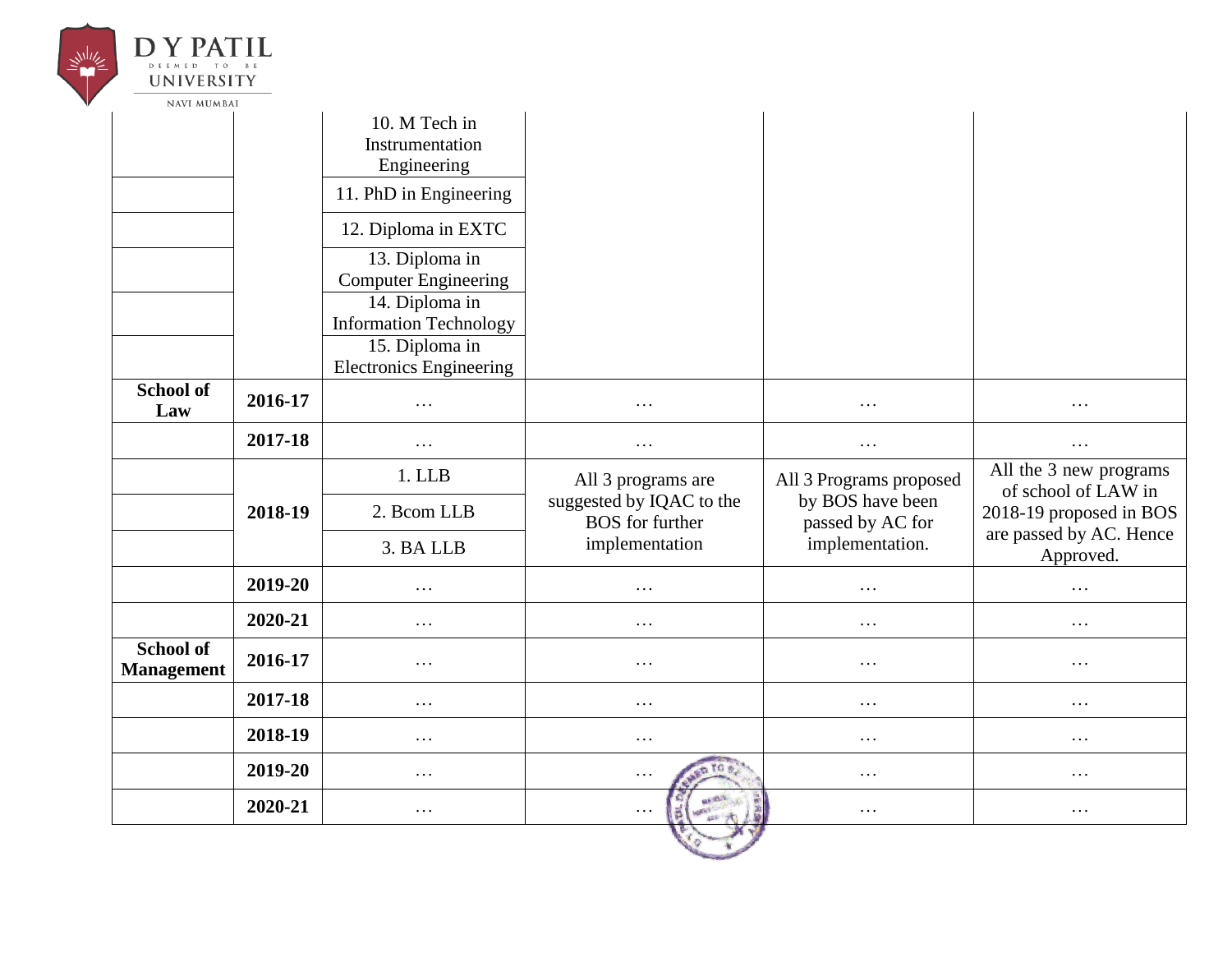| <b>UNIVERSITY</b><br><b>NAVI MUMBAI</b> |         |                                                                                                     |                                                    |                                      |                                               |
|-----------------------------------------|---------|-----------------------------------------------------------------------------------------------------|----------------------------------------------------|--------------------------------------|-----------------------------------------------|
|                                         |         | 10. M Tech in<br>Instrumentation<br>Engineering                                                     |                                                    |                                      |                                               |
|                                         |         | 11. PhD in Engineering                                                                              |                                                    |                                      |                                               |
|                                         |         | 12. Diploma in EXTC                                                                                 |                                                    |                                      |                                               |
|                                         |         | 13. Diploma in<br><b>Computer Engineering</b>                                                       |                                                    |                                      |                                               |
|                                         |         | 14. Diploma in<br><b>Information Technology</b><br>15. Diploma in<br><b>Electronics Engineering</b> |                                                    |                                      |                                               |
| <b>School of</b><br>Law                 | 2016-17 | .                                                                                                   | $\cdots$                                           | $\cdots$                             | $\cdots$                                      |
|                                         | 2017-18 | .                                                                                                   | $\cdots$                                           | $\cdots$                             | $\cdots$                                      |
|                                         |         | 1. LLB                                                                                              | All 3 programs are                                 | All 3 Programs proposed              | All the 3 new programs<br>of school of LAW in |
|                                         | 2018-19 | 2. Bcom LLB                                                                                         | suggested by IQAC to the<br><b>BOS</b> for further | by BOS have been<br>passed by AC for | 2018-19 proposed in BOS                       |
|                                         |         | 3. BA LLB                                                                                           | implementation                                     | implementation.                      | are passed by AC. Hence<br>Approved.          |
|                                         | 2019-20 | $\cdots$                                                                                            | $\cdots$                                           | $\cdots$                             | $\cdots$                                      |
|                                         | 2020-21 | .                                                                                                   | $\cdots$                                           | $\cdots$                             | $\cdots$                                      |
| <b>School of</b><br><b>Management</b>   | 2016-17 | $\cdots$                                                                                            | $\cdots$                                           | $\ldots$                             | $\ldots$                                      |
|                                         | 2017-18 | $\cdots$                                                                                            | $\cdots$                                           | $\ldots$                             | $\ldots$                                      |
|                                         | 2018-19 | $\cdots$                                                                                            | $\cdots$                                           | $\cdots$                             | $\cdots$                                      |
|                                         | 2019-20 | $\ldots$                                                                                            | n fo s<br>$\cdots$                                 | $\ldots$                             | $\ldots$                                      |
|                                         | 2020-21 | $\cdots$                                                                                            | ar est.<br>目<br>$\cdots$<br><b>MAGE</b><br>and in  | $\ldots$                             | $\cdots$                                      |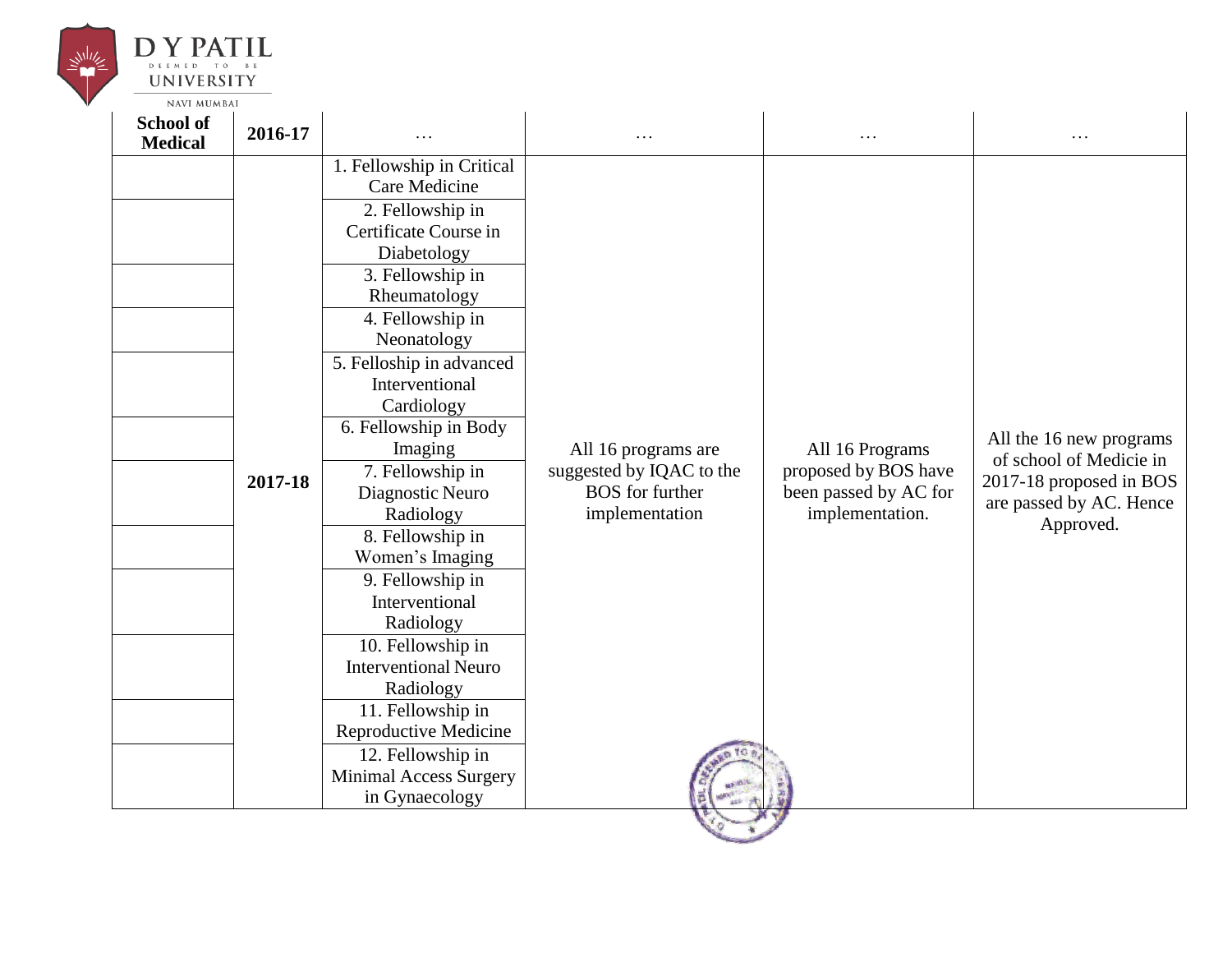

| 1. Fellowship in Critical<br>Care Medicine<br>2. Fellowship in<br>Certificate Course in<br>Diabetology<br>3. Fellowship in<br>Rheumatology<br>4. Fellowship in<br>Neonatology<br>5. Felloship in advanced<br>Interventional<br>Cardiology<br>6. Fellowship in Body<br>All 16 Programs<br>Imaging<br>All 16 programs are<br>suggested by IQAC to the<br>proposed by BOS have<br>7. Fellowship in<br>2017-18<br><b>BOS</b> for further<br>been passed by AC for<br>Diagnostic Neuro<br>implementation<br>implementation.<br>Radiology<br>Approved.<br>8. Fellowship in<br>Women's Imaging<br>9. Fellowship in<br>Interventional<br>Radiology<br>10. Fellowship in<br><b>Interventional Neuro</b><br>Radiology<br>11. Fellowship in<br>Reproductive Medicine | School of<br><b>Medical</b> | 2016-17 |                   | $\cdots$ | . | .                                                                                                        |
|-----------------------------------------------------------------------------------------------------------------------------------------------------------------------------------------------------------------------------------------------------------------------------------------------------------------------------------------------------------------------------------------------------------------------------------------------------------------------------------------------------------------------------------------------------------------------------------------------------------------------------------------------------------------------------------------------------------------------------------------------------------|-----------------------------|---------|-------------------|----------|---|----------------------------------------------------------------------------------------------------------|
|                                                                                                                                                                                                                                                                                                                                                                                                                                                                                                                                                                                                                                                                                                                                                           |                             |         |                   |          |   |                                                                                                          |
|                                                                                                                                                                                                                                                                                                                                                                                                                                                                                                                                                                                                                                                                                                                                                           |                             |         |                   |          |   |                                                                                                          |
|                                                                                                                                                                                                                                                                                                                                                                                                                                                                                                                                                                                                                                                                                                                                                           |                             |         |                   |          |   |                                                                                                          |
|                                                                                                                                                                                                                                                                                                                                                                                                                                                                                                                                                                                                                                                                                                                                                           |                             |         |                   |          |   |                                                                                                          |
|                                                                                                                                                                                                                                                                                                                                                                                                                                                                                                                                                                                                                                                                                                                                                           |                             |         |                   |          |   |                                                                                                          |
|                                                                                                                                                                                                                                                                                                                                                                                                                                                                                                                                                                                                                                                                                                                                                           |                             |         |                   |          |   |                                                                                                          |
|                                                                                                                                                                                                                                                                                                                                                                                                                                                                                                                                                                                                                                                                                                                                                           |                             |         |                   |          |   |                                                                                                          |
|                                                                                                                                                                                                                                                                                                                                                                                                                                                                                                                                                                                                                                                                                                                                                           |                             |         |                   |          |   |                                                                                                          |
|                                                                                                                                                                                                                                                                                                                                                                                                                                                                                                                                                                                                                                                                                                                                                           |                             |         |                   |          |   |                                                                                                          |
|                                                                                                                                                                                                                                                                                                                                                                                                                                                                                                                                                                                                                                                                                                                                                           |                             |         |                   |          |   |                                                                                                          |
|                                                                                                                                                                                                                                                                                                                                                                                                                                                                                                                                                                                                                                                                                                                                                           |                             |         |                   |          |   | All the 16 new programs<br>of school of Medicie in<br>2017-18 proposed in BOS<br>are passed by AC. Hence |
|                                                                                                                                                                                                                                                                                                                                                                                                                                                                                                                                                                                                                                                                                                                                                           |                             |         |                   |          |   |                                                                                                          |
|                                                                                                                                                                                                                                                                                                                                                                                                                                                                                                                                                                                                                                                                                                                                                           |                             |         |                   |          |   |                                                                                                          |
|                                                                                                                                                                                                                                                                                                                                                                                                                                                                                                                                                                                                                                                                                                                                                           |                             |         |                   |          |   |                                                                                                          |
|                                                                                                                                                                                                                                                                                                                                                                                                                                                                                                                                                                                                                                                                                                                                                           |                             |         |                   |          |   |                                                                                                          |
|                                                                                                                                                                                                                                                                                                                                                                                                                                                                                                                                                                                                                                                                                                                                                           |                             |         |                   |          |   |                                                                                                          |
|                                                                                                                                                                                                                                                                                                                                                                                                                                                                                                                                                                                                                                                                                                                                                           |                             |         |                   |          |   |                                                                                                          |
|                                                                                                                                                                                                                                                                                                                                                                                                                                                                                                                                                                                                                                                                                                                                                           |                             |         |                   |          |   |                                                                                                          |
|                                                                                                                                                                                                                                                                                                                                                                                                                                                                                                                                                                                                                                                                                                                                                           |                             |         |                   |          |   |                                                                                                          |
|                                                                                                                                                                                                                                                                                                                                                                                                                                                                                                                                                                                                                                                                                                                                                           |                             |         |                   |          |   |                                                                                                          |
|                                                                                                                                                                                                                                                                                                                                                                                                                                                                                                                                                                                                                                                                                                                                                           |                             |         |                   |          |   |                                                                                                          |
|                                                                                                                                                                                                                                                                                                                                                                                                                                                                                                                                                                                                                                                                                                                                                           |                             |         |                   |          |   |                                                                                                          |
|                                                                                                                                                                                                                                                                                                                                                                                                                                                                                                                                                                                                                                                                                                                                                           |                             |         |                   |          |   |                                                                                                          |
|                                                                                                                                                                                                                                                                                                                                                                                                                                                                                                                                                                                                                                                                                                                                                           |                             |         |                   |          |   |                                                                                                          |
|                                                                                                                                                                                                                                                                                                                                                                                                                                                                                                                                                                                                                                                                                                                                                           |                             |         |                   |          |   |                                                                                                          |
|                                                                                                                                                                                                                                                                                                                                                                                                                                                                                                                                                                                                                                                                                                                                                           |                             |         |                   |          |   |                                                                                                          |
|                                                                                                                                                                                                                                                                                                                                                                                                                                                                                                                                                                                                                                                                                                                                                           |                             |         | 12. Fellowship in |          |   |                                                                                                          |
| <b>Minimal Access Surgery</b>                                                                                                                                                                                                                                                                                                                                                                                                                                                                                                                                                                                                                                                                                                                             |                             |         |                   |          |   |                                                                                                          |
| in Gynaecology                                                                                                                                                                                                                                                                                                                                                                                                                                                                                                                                                                                                                                                                                                                                            |                             |         |                   |          |   |                                                                                                          |
|                                                                                                                                                                                                                                                                                                                                                                                                                                                                                                                                                                                                                                                                                                                                                           |                             |         |                   |          |   |                                                                                                          |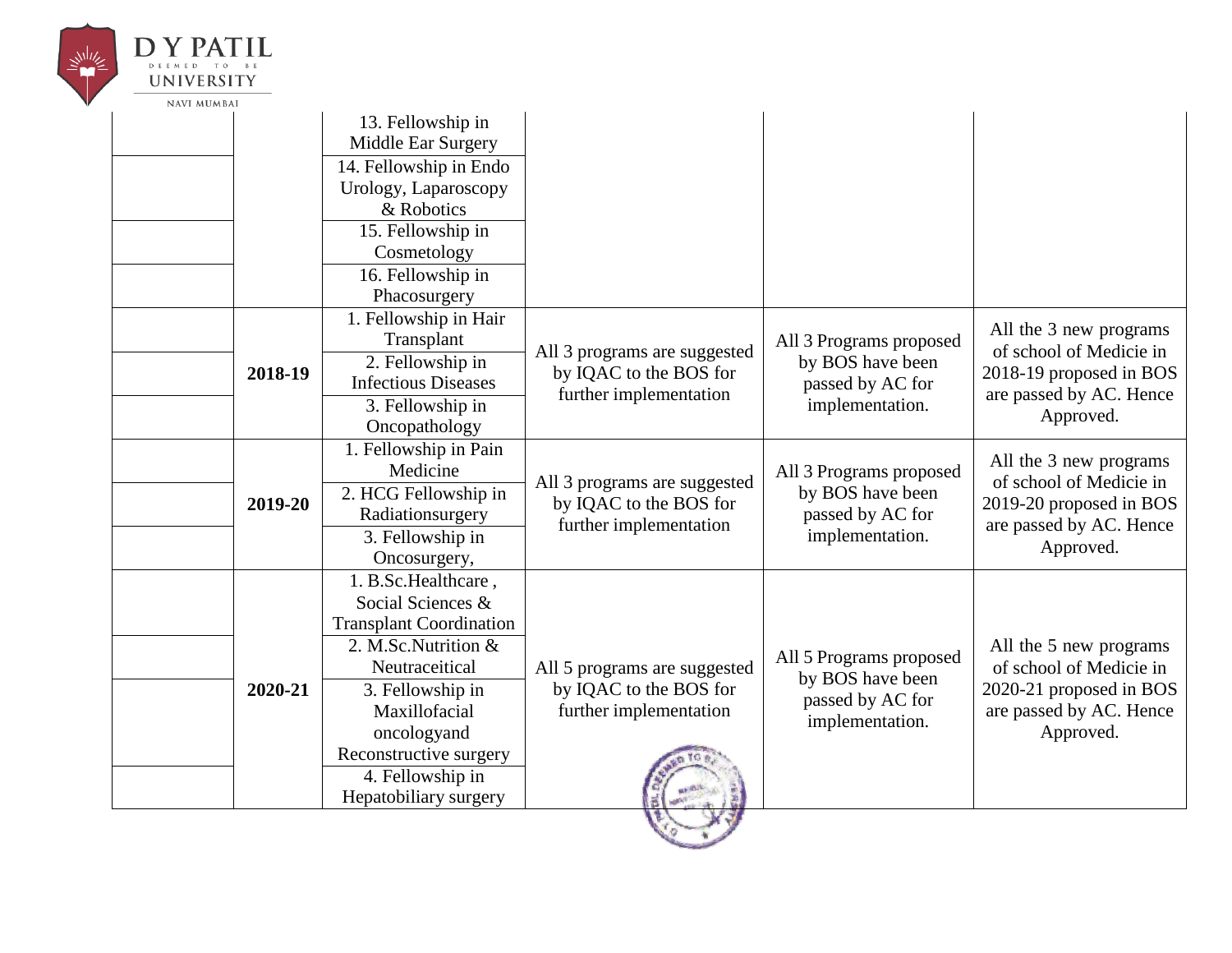

|  |         | 13. Fellowship in<br>Middle Ear Surgery |                                                                                  |                                                                                    |                                                                                                                      |
|--|---------|-----------------------------------------|----------------------------------------------------------------------------------|------------------------------------------------------------------------------------|----------------------------------------------------------------------------------------------------------------------|
|  |         | 14. Fellowship in Endo                  |                                                                                  |                                                                                    |                                                                                                                      |
|  |         | Urology, Laparoscopy                    |                                                                                  |                                                                                    |                                                                                                                      |
|  |         | & Robotics                              |                                                                                  |                                                                                    |                                                                                                                      |
|  |         | 15. Fellowship in                       |                                                                                  |                                                                                    |                                                                                                                      |
|  |         | Cosmetology                             |                                                                                  |                                                                                    |                                                                                                                      |
|  |         | 16. Fellowship in                       |                                                                                  |                                                                                    |                                                                                                                      |
|  |         | Phacosurgery                            |                                                                                  |                                                                                    |                                                                                                                      |
|  |         | 1. Fellowship in Hair                   |                                                                                  |                                                                                    | All the 3 new programs                                                                                               |
|  |         | Transplant                              | All 3 programs are suggested                                                     | All 3 Programs proposed                                                            | of school of Medicie in                                                                                              |
|  | 2018-19 | 2. Fellowship in                        | by IQAC to the BOS for                                                           | by BOS have been                                                                   | 2018-19 proposed in BOS<br>are passed by AC. Hence<br>Approved.                                                      |
|  |         | <b>Infectious Diseases</b>              | further implementation                                                           | passed by AC for<br>implementation.                                                |                                                                                                                      |
|  |         | 3. Fellowship in                        |                                                                                  |                                                                                    |                                                                                                                      |
|  |         | Oncopathology                           |                                                                                  |                                                                                    |                                                                                                                      |
|  |         | 1. Fellowship in Pain                   |                                                                                  |                                                                                    | All the 3 new programs                                                                                               |
|  | 2019-20 | Medicine                                | All 3 programs are suggested<br>by IQAC to the BOS for<br>further implementation | All 3 Programs proposed<br>by BOS have been<br>passed by AC for<br>implementation. | of school of Medicie in<br>2019-20 proposed in BOS<br>are passed by AC. Hence<br>Approved.                           |
|  |         | 2. HCG Fellowship in                    |                                                                                  |                                                                                    |                                                                                                                      |
|  |         | Radiationsurgery                        |                                                                                  |                                                                                    |                                                                                                                      |
|  |         | 3. Fellowship in                        |                                                                                  |                                                                                    |                                                                                                                      |
|  |         | Oncosurgery,                            |                                                                                  |                                                                                    |                                                                                                                      |
|  |         | 1. B.Sc.Healthcare,                     |                                                                                  |                                                                                    |                                                                                                                      |
|  |         | Social Sciences &                       |                                                                                  | All 5 Programs proposed<br>by BOS have been<br>passed by AC for<br>implementation. | All the 5 new programs<br>of school of Medicie in<br>2020-21 proposed in BOS<br>are passed by AC. Hence<br>Approved. |
|  |         | <b>Transplant Coordination</b>          |                                                                                  |                                                                                    |                                                                                                                      |
|  | 2020-21 | 2. M.Sc.Nutrition &                     |                                                                                  |                                                                                    |                                                                                                                      |
|  |         | Neutraceitical                          | All 5 programs are suggested                                                     |                                                                                    |                                                                                                                      |
|  |         | 3. Fellowship in                        | by IQAC to the BOS for                                                           |                                                                                    |                                                                                                                      |
|  |         | Maxillofacial                           | further implementation                                                           |                                                                                    |                                                                                                                      |
|  |         | oncologyand                             |                                                                                  |                                                                                    |                                                                                                                      |
|  |         | Reconstructive surgery                  |                                                                                  |                                                                                    |                                                                                                                      |
|  |         | 4. Fellowship in                        |                                                                                  |                                                                                    |                                                                                                                      |
|  |         | Hepatobiliary surgery                   |                                                                                  |                                                                                    |                                                                                                                      |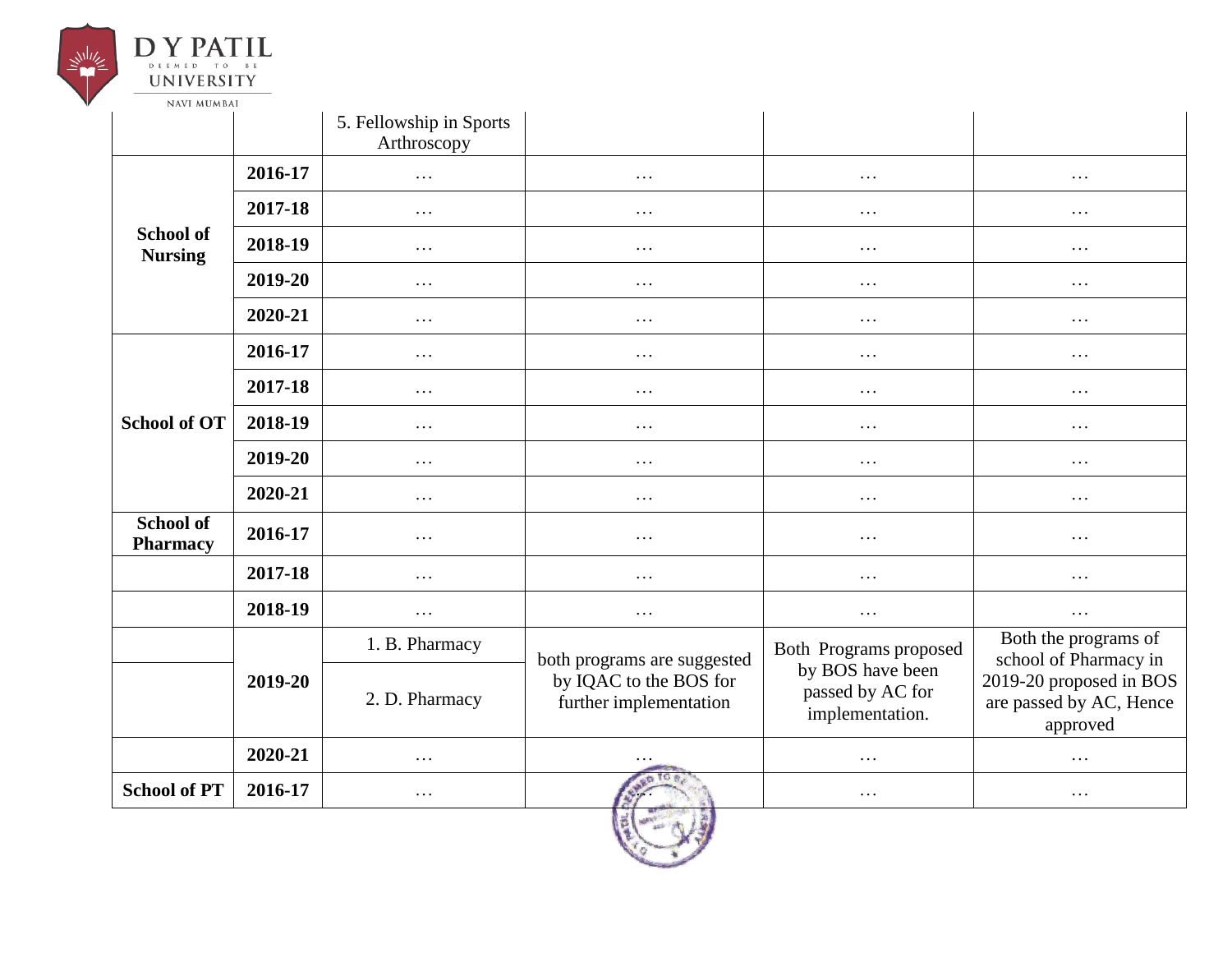

| <b>NAVI MUMBAI</b>                 |         |                                        |                                                  |                                                         |                                                                |
|------------------------------------|---------|----------------------------------------|--------------------------------------------------|---------------------------------------------------------|----------------------------------------------------------------|
|                                    |         | 5. Fellowship in Sports<br>Arthroscopy |                                                  |                                                         |                                                                |
|                                    | 2016-17 | $\cdots$                               | $\ddots$                                         | $\cdots$                                                | $\cdots$                                                       |
|                                    | 2017-18 | $\cdots$                               | $\cdots$                                         | .                                                       | .                                                              |
| <b>School of</b><br><b>Nursing</b> | 2018-19 | $\cdots$                               | $\cdots$                                         | $\cdots$                                                | $\cdots$                                                       |
|                                    | 2019-20 | $\ddots$                               | $\cdots$                                         | $\cdots$                                                | $\cdots$                                                       |
|                                    | 2020-21 | $\cdots$                               | $\cdots$                                         | $\cdots$                                                | .                                                              |
|                                    | 2016-17 | $\cdots$                               | $\cdots$                                         | $\cdots$                                                | .                                                              |
|                                    | 2017-18 | $\cdots$                               | $\cdots$                                         | .                                                       | $\cdots$                                                       |
| <b>School of OT</b>                | 2018-19 | .                                      | $\cdots$                                         | .                                                       | .                                                              |
|                                    | 2019-20 | $\cdots$                               | $\cdots$                                         | $\cdots$                                                | $\cdots$                                                       |
|                                    | 2020-21 | $\cdots$                               | $\cdots$                                         | $\cdots$                                                | $\cdots$                                                       |
| <b>School of</b><br>Pharmacy       | 2016-17 | $\cdots$                               | $\cdots$                                         | $\cdots$                                                | .                                                              |
|                                    | 2017-18 | $\cdots$                               | $\cdots$                                         | $\cdots$                                                | $\cdots$                                                       |
|                                    | 2018-19 | $\cdots$                               | $\cdots$                                         | $\cdots$                                                | $\cdots$                                                       |
|                                    |         | 1. B. Pharmacy                         | both programs are suggested                      | Both Programs proposed                                  | Both the programs of<br>school of Pharmacy in                  |
|                                    | 2019-20 | 2. D. Pharmacy                         | by IQAC to the BOS for<br>further implementation | by BOS have been<br>passed by AC for<br>implementation. | 2019-20 proposed in BOS<br>are passed by AC, Hence<br>approved |
|                                    | 2020-21 | $\cdots$                               |                                                  | $\cdots$                                                | .                                                              |
| <b>School of PT</b>                | 2016-17 | $\cdots$                               |                                                  | .                                                       | $\cdots$                                                       |